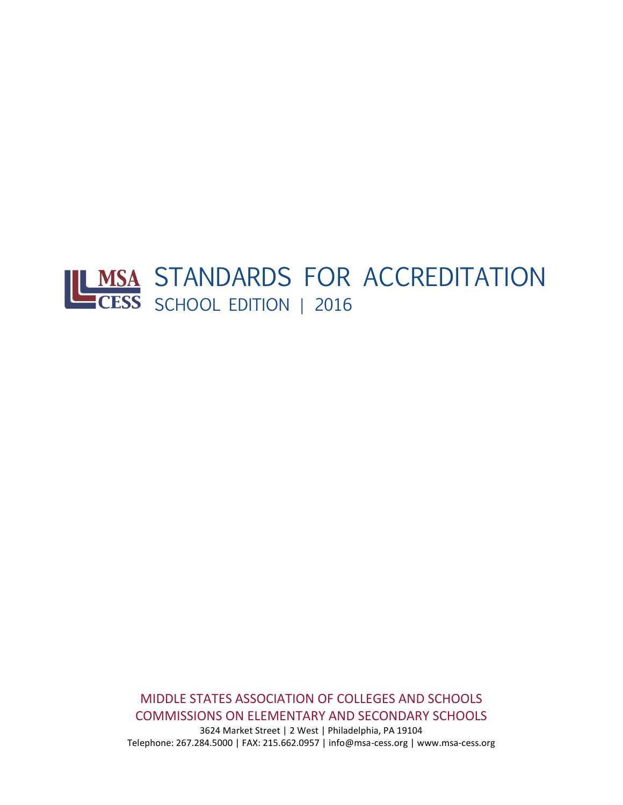# STANDARDS FOR ACCREDITATION SCHOOL EDITION | 2016

MIDDLE STATES ASSOCIATION OF COLLEGES AND SCHOOLS COMMISSIONS ON ELEMENTARY AND SECONDARY SCHOOLS

3624 Market Street | 2 West | Philadelphia, PA 19104 Telephone: 267.284.5000 | FAX: 215.662.0957 | info@msa-cess.org | www.msa-cess.org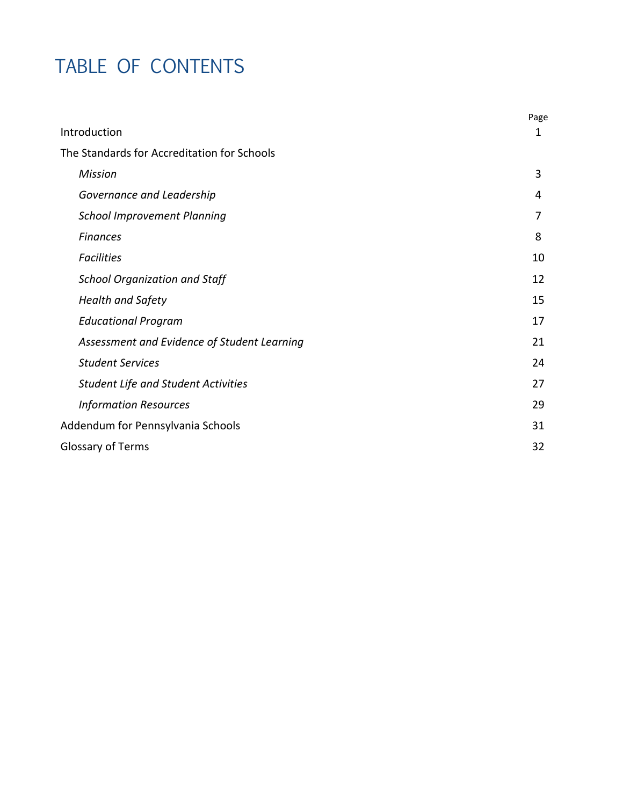# TABLE OF CONTENTS

|                                             | Page |
|---------------------------------------------|------|
| Introduction                                | 1    |
| The Standards for Accreditation for Schools |      |
| <b>Mission</b>                              | 3    |
| Governance and Leadership                   | 4    |
| <b>School Improvement Planning</b>          | 7    |
| <b>Finances</b>                             | 8    |
| <b>Facilities</b>                           | 10   |
| <b>School Organization and Staff</b>        | 12   |
| <b>Health and Safety</b>                    | 15   |
| <b>Educational Program</b>                  | 17   |
| Assessment and Evidence of Student Learning | 21   |
| <b>Student Services</b>                     | 24   |
| <b>Student Life and Student Activities</b>  | 27   |
| <b>Information Resources</b>                | 29   |
| Addendum for Pennsylvania Schools           | 31   |
| Glossary of Terms                           | 32   |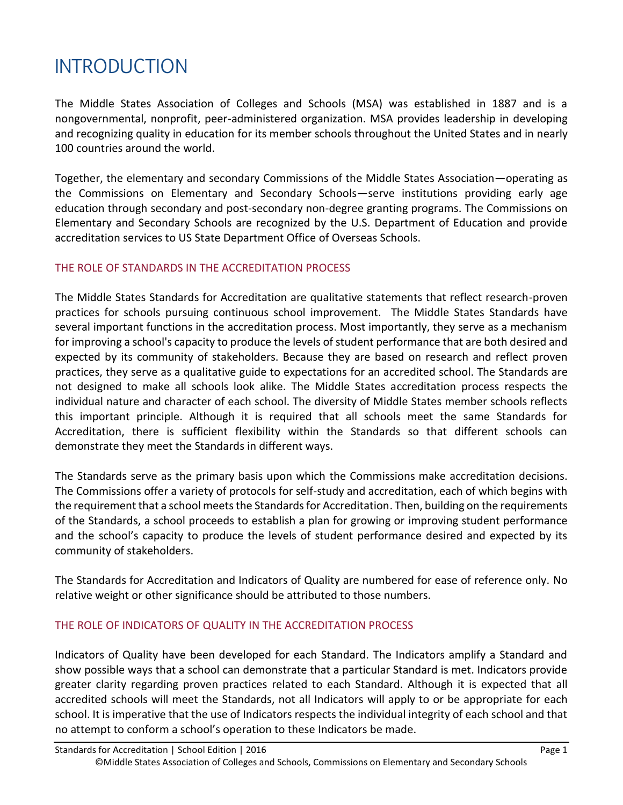# INTRODUCTION

The Middle States Association of Colleges and Schools (MSA) was established in 1887 and is a nongovernmental, nonprofit, peer-administered organization. MSA provides leadership in developing and recognizing quality in education for its member schools throughout the United States and in nearly 100 countries around the world.

Together, the elementary and secondary Commissions of the Middle States Association—operating as the Commissions on Elementary and Secondary Schools—serve institutions providing early age education through secondary and post-secondary non-degree granting programs. The Commissions on Elementary and Secondary Schools are recognized by the U.S. Department of Education and provide accreditation services to US State Department Office of Overseas Schools.

# THE ROLE OF STANDARDS IN THE ACCREDITATION PROCESS

The Middle States Standards for Accreditation are qualitative statements that reflect research-proven practices for schools pursuing continuous school improvement. The Middle States Standards have several important functions in the accreditation process. Most importantly, they serve as a mechanism for improving a school's capacity to produce the levels of student performance that are both desired and expected by its community of stakeholders. Because they are based on research and reflect proven practices, they serve as a qualitative guide to expectations for an accredited school. The Standards are not designed to make all schools look alike. The Middle States accreditation process respects the individual nature and character of each school. The diversity of Middle States member schools reflects this important principle. Although it is required that all schools meet the same Standards for Accreditation, there is sufficient flexibility within the Standards so that different schools can demonstrate they meet the Standards in different ways.

The Standards serve as the primary basis upon which the Commissions make accreditation decisions. The Commissions offer a variety of protocols for self-study and accreditation, each of which begins with the requirement that a school meets the Standards for Accreditation. Then, building on the requirements of the Standards, a school proceeds to establish a plan for growing or improving student performance and the school's capacity to produce the levels of student performance desired and expected by its community of stakeholders.

The Standards for Accreditation and Indicators of Quality are numbered for ease of reference only. No relative weight or other significance should be attributed to those numbers.

# THE ROLE OF INDICATORS OF QUALITY IN THE ACCREDITATION PROCESS

Indicators of Quality have been developed for each Standard. The Indicators amplify a Standard and show possible ways that a school can demonstrate that a particular Standard is met. Indicators provide greater clarity regarding proven practices related to each Standard. Although it is expected that all accredited schools will meet the Standards, not all Indicators will apply to or be appropriate for each school. It is imperative that the use of Indicators respects the individual integrity of each school and that no attempt to conform a school's operation to these Indicators be made.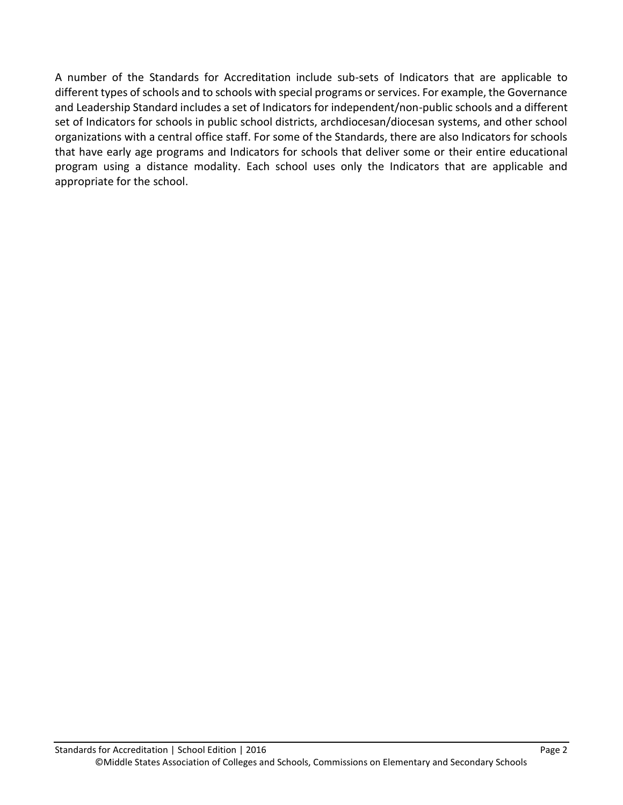A number of the Standards for Accreditation include sub-sets of Indicators that are applicable to different types of schools and to schools with special programs or services. For example, the Governance and Leadership Standard includes a set of Indicators for independent/non-public schools and a different set of Indicators for schools in public school districts, archdiocesan/diocesan systems, and other school organizations with a central office staff. For some of the Standards, there are also Indicators for schools that have early age programs and Indicators for schools that deliver some or their entire educational program using a distance modality. Each school uses only the Indicators that are applicable and appropriate for the school.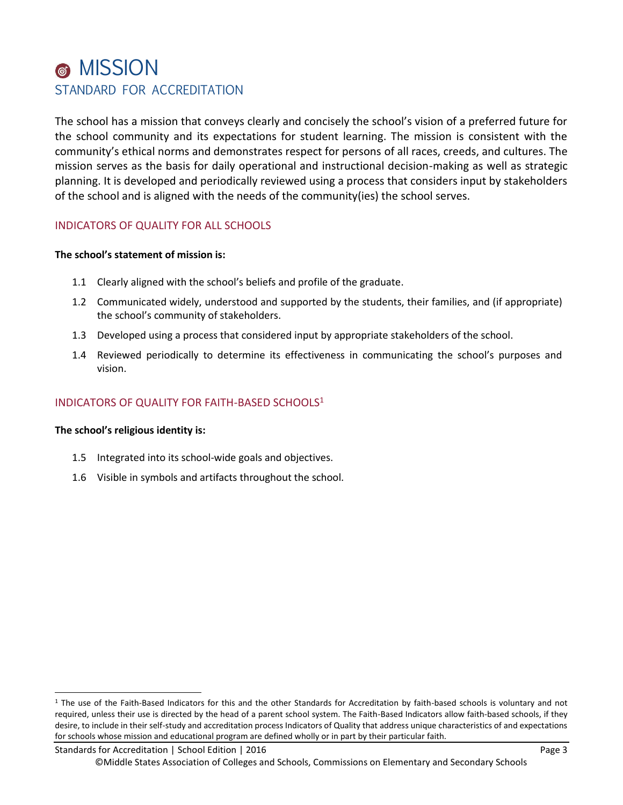# MISSION STANDARD FOR ACCREDITATION

The school has a mission that conveys clearly and concisely the school's vision of a preferred future for the school community and its expectations for student learning. The mission is consistent with the community's ethical norms and demonstrates respect for persons of all races, creeds, and cultures. The mission serves as the basis for daily operational and instructional decision-making as well as strategic planning. It is developed and periodically reviewed using a process that considers input by stakeholders of the school and is aligned with the needs of the community(ies) the school serves.

# INDICATORS OF QUALITY FOR ALL SCHOOLS

#### **The school's statement of mission is:**

- 1.1 Clearly aligned with the school's beliefs and profile of the graduate.
- 1.2 Communicated widely, understood and supported by the students, their families, and (if appropriate) the school's community of stakeholders.
- 1.3 Developed using a process that considered input by appropriate stakeholders of the school.
- 1.4 Reviewed periodically to determine its effectiveness in communicating the school's purposes and vision.

# INDICATORS OF QUALITY FOR FAITH-BASED SCHOOLS<sup>1</sup>

#### **The school's religious identity is:**

l

- 1.5 Integrated into its school-wide goals and objectives.
- 1.6 Visible in symbols and artifacts throughout the school.

 $1$  The use of the Faith-Based Indicators for this and the other Standards for Accreditation by faith-based schools is voluntary and not required, unless their use is directed by the head of a parent school system. The Faith-Based Indicators allow faith-based schools, if they desire, to include in their self-study and accreditation process Indicators of Quality that address unique characteristics of and expectations for schools whose mission and educational program are defined wholly or in part by their particular faith.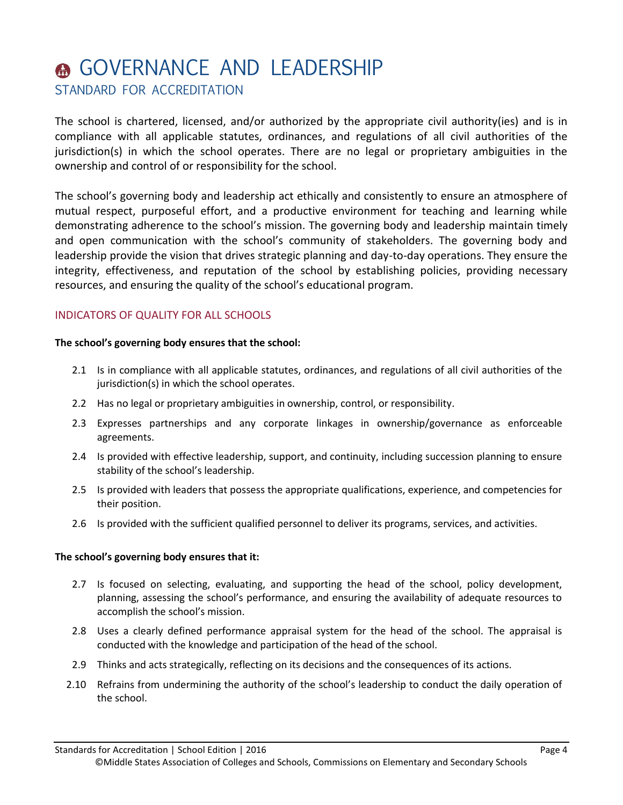# **A GOVERNANCE AND LEADERSHIP**

STANDARD FOR ACCREDITATION

The school is chartered, licensed, and/or authorized by the appropriate civil authority(ies) and is in compliance with all applicable statutes, ordinances, and regulations of all civil authorities of the jurisdiction(s) in which the school operates. There are no legal or proprietary ambiguities in the ownership and control of or responsibility for the school.

The school's governing body and leadership act ethically and consistently to ensure an atmosphere of mutual respect, purposeful effort, and a productive environment for teaching and learning while demonstrating adherence to the school's mission. The governing body and leadership maintain timely and open communication with the school's community of stakeholders. The governing body and leadership provide the vision that drives strategic planning and day-to-day operations. They ensure the integrity, effectiveness, and reputation of the school by establishing policies, providing necessary resources, and ensuring the quality of the school's educational program.

# INDICATORS OF QUALITY FOR ALL SCHOOLS

#### **The school's governing body ensures that the school:**

- 2.1 Is in compliance with all applicable statutes, ordinances, and regulations of all civil authorities of the jurisdiction(s) in which the school operates.
- 2.2 Has no legal or proprietary ambiguities in ownership, control, or responsibility.
- 2.3 Expresses partnerships and any corporate linkages in ownership/governance as enforceable agreements.
- 2.4 Is provided with effective leadership, support, and continuity, including succession planning to ensure stability of the school's leadership.
- 2.5 Is provided with leaders that possess the appropriate qualifications, experience, and competencies for their position.
- 2.6 Is provided with the sufficient qualified personnel to deliver its programs, services, and activities.

# **The school's governing body ensures that it:**

- 2.7 Is focused on selecting, evaluating, and supporting the head of the school, policy development, planning, assessing the school's performance, and ensuring the availability of adequate resources to accomplish the school's mission.
- 2.8 Uses a clearly defined performance appraisal system for the head of the school. The appraisal is conducted with the knowledge and participation of the head of the school.
- 2.9 Thinks and acts strategically, reflecting on its decisions and the consequences of its actions.
- 2.10 Refrains from undermining the authority of the school's leadership to conduct the daily operation of the school.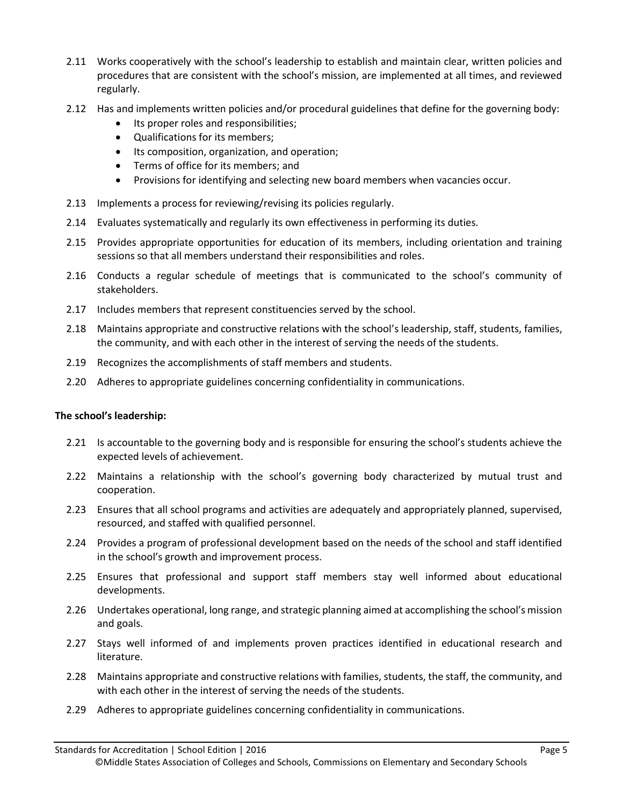- 2.11 Works cooperatively with the school's leadership to establish and maintain clear, written policies and procedures that are consistent with the school's mission, are implemented at all times, and reviewed regularly.
- 2.12 Has and implements written policies and/or procedural guidelines that define for the governing body:
	- Its proper roles and responsibilities;
	- Qualifications for its members;
	- Its composition, organization, and operation;
	- Terms of office for its members; and
	- Provisions for identifying and selecting new board members when vacancies occur.
- 2.13 Implements a process for reviewing/revising its policies regularly.
- 2.14 Evaluates systematically and regularly its own effectiveness in performing its duties.
- 2.15 Provides appropriate opportunities for education of its members, including orientation and training sessions so that all members understand their responsibilities and roles.
- 2.16 Conducts a regular schedule of meetings that is communicated to the school's community of stakeholders.
- 2.17 Includes members that represent constituencies served by the school.
- 2.18 Maintains appropriate and constructive relations with the school's leadership, staff, students, families, the community, and with each other in the interest of serving the needs of the students.
- 2.19 Recognizes the accomplishments of staff members and students.
- 2.20 Adheres to appropriate guidelines concerning confidentiality in communications.

#### **The school's leadership:**

- 2.21 Is accountable to the governing body and is responsible for ensuring the school's students achieve the expected levels of achievement.
- 2.22 Maintains a relationship with the school's governing body characterized by mutual trust and cooperation.
- 2.23 Ensures that all school programs and activities are adequately and appropriately planned, supervised, resourced, and staffed with qualified personnel.
- 2.24 Provides a program of professional development based on the needs of the school and staff identified in the school's growth and improvement process.
- 2.25 Ensures that professional and support staff members stay well informed about educational developments.
- 2.26 Undertakes operational, long range, and strategic planning aimed at accomplishing the school's mission and goals.
- 2.27 Stays well informed of and implements proven practices identified in educational research and literature.
- 2.28 Maintains appropriate and constructive relations with families, students, the staff, the community, and with each other in the interest of serving the needs of the students.
- 2.29 Adheres to appropriate guidelines concerning confidentiality in communications.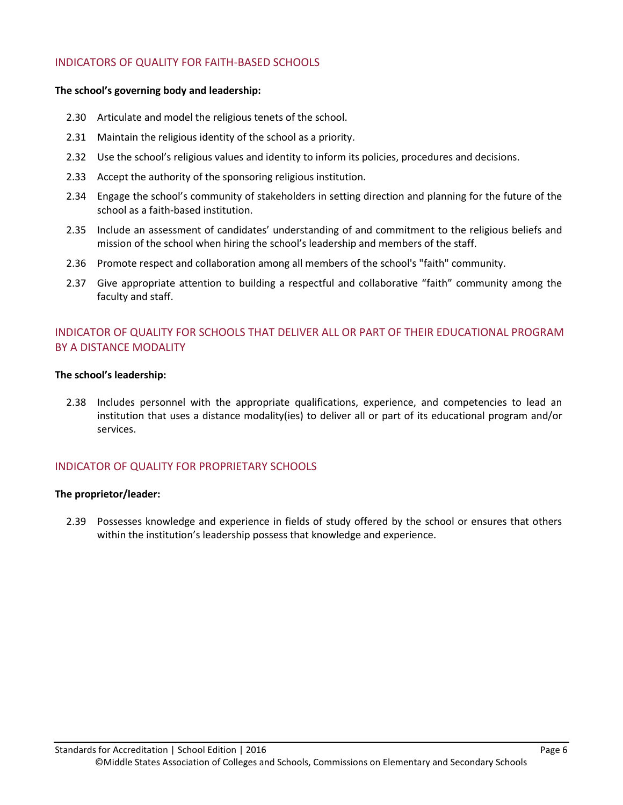### INDICATORS OF QUALITY FOR FAITH-BASED SCHOOLS

#### **The school's governing body and leadership:**

- 2.30 Articulate and model the religious tenets of the school.
- 2.31 Maintain the religious identity of the school as a priority.
- 2.32 Use the school's religious values and identity to inform its policies, procedures and decisions.
- 2.33 Accept the authority of the sponsoring religious institution.
- 2.34 Engage the school's community of stakeholders in setting direction and planning for the future of the school as a faith-based institution.
- 2.35 Include an assessment of candidates' understanding of and commitment to the religious beliefs and mission of the school when hiring the school's leadership and members of the staff.
- 2.36 Promote respect and collaboration among all members of the school's "faith" community.
- 2.37 Give appropriate attention to building a respectful and collaborative "faith" community among the faculty and staff.

# INDICATOR OF QUALITY FOR SCHOOLS THAT DELIVER ALL OR PART OF THEIR EDUCATIONAL PROGRAM BY A DISTANCE MODALITY

#### **The school's leadership:**

2.38 Includes personnel with the appropriate qualifications, experience, and competencies to lead an institution that uses a distance modality(ies) to deliver all or part of its educational program and/or services.

# INDICATOR OF QUALITY FOR PROPRIETARY SCHOOLS

#### **The proprietor/leader:**

2.39 Possesses knowledge and experience in fields of study offered by the school or ensures that others within the institution's leadership possess that knowledge and experience.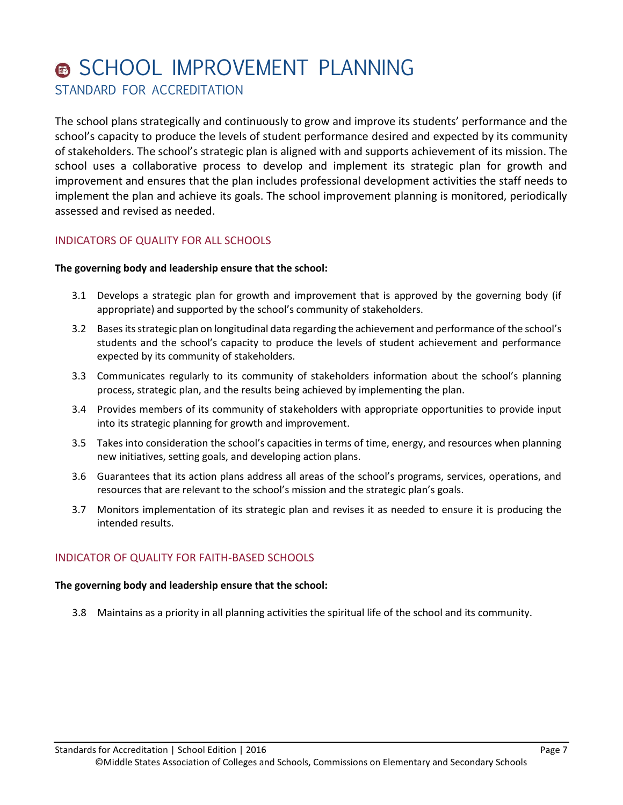# **6 SCHOOL IMPROVEMENT PLANNING** STANDARD FOR ACCREDITATION

The school plans strategically and continuously to grow and improve its students' performance and the school's capacity to produce the levels of student performance desired and expected by its community of stakeholders. The school's strategic plan is aligned with and supports achievement of its mission. The school uses a collaborative process to develop and implement its strategic plan for growth and improvement and ensures that the plan includes professional development activities the staff needs to implement the plan and achieve its goals. The school improvement planning is monitored, periodically assessed and revised as needed.

# INDICATORS OF QUALITY FOR ALL SCHOOLS

#### **The governing body and leadership ensure that the school:**

- 3.1 Develops a strategic plan for growth and improvement that is approved by the governing body (if appropriate) and supported by the school's community of stakeholders.
- 3.2 Bases its strategic plan on longitudinal data regarding the achievement and performance of the school's students and the school's capacity to produce the levels of student achievement and performance expected by its community of stakeholders.
- 3.3 Communicates regularly to its community of stakeholders information about the school's planning process, strategic plan, and the results being achieved by implementing the plan.
- 3.4 Provides members of its community of stakeholders with appropriate opportunities to provide input into its strategic planning for growth and improvement.
- 3.5 Takes into consideration the school's capacities in terms of time, energy, and resources when planning new initiatives, setting goals, and developing action plans.
- 3.6 Guarantees that its action plans address all areas of the school's programs, services, operations, and resources that are relevant to the school's mission and the strategic plan's goals.
- 3.7 Monitors implementation of its strategic plan and revises it as needed to ensure it is producing the intended results.

# INDICATOR OF QUALITY FOR FAITH-BASED SCHOOLS

#### **The governing body and leadership ensure that the school:**

3.8 Maintains as a priority in all planning activities the spiritual life of the school and its community.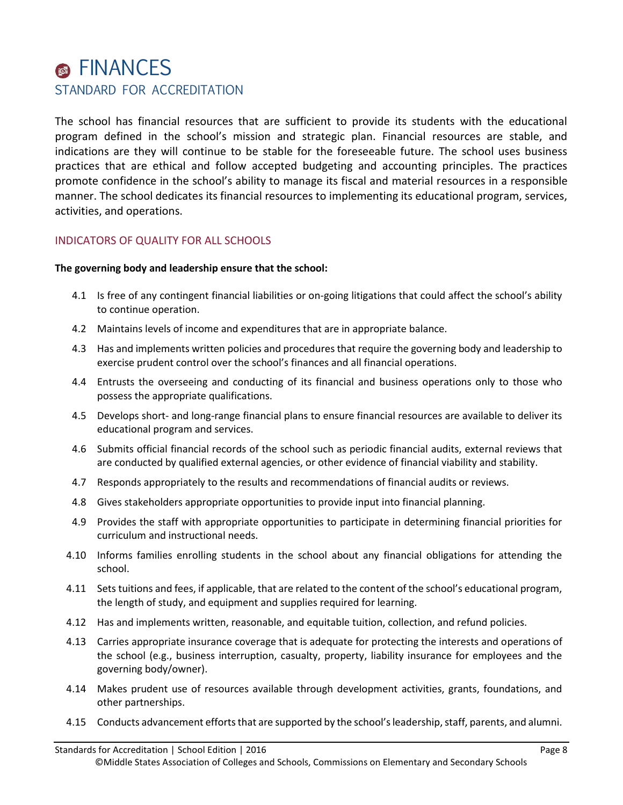# **S** FINANCES STANDARD FOR ACCREDITATION

The school has financial resources that are sufficient to provide its students with the educational program defined in the school's mission and strategic plan. Financial resources are stable, and indications are they will continue to be stable for the foreseeable future. The school uses business practices that are ethical and follow accepted budgeting and accounting principles. The practices promote confidence in the school's ability to manage its fiscal and material resources in a responsible manner. The school dedicates its financial resources to implementing its educational program, services, activities, and operations.

# INDICATORS OF QUALITY FOR ALL SCHOOLS

- 4.1 Is free of any contingent financial liabilities or on-going litigations that could affect the school's ability to continue operation.
- 4.2 Maintains levels of income and expenditures that are in appropriate balance.
- 4.3 Has and implements written policies and procedures that require the governing body and leadership to exercise prudent control over the school's finances and all financial operations.
- 4.4 Entrusts the overseeing and conducting of its financial and business operations only to those who possess the appropriate qualifications.
- 4.5 Develops short- and long-range financial plans to ensure financial resources are available to deliver its educational program and services.
- 4.6 Submits official financial records of the school such as periodic financial audits, external reviews that are conducted by qualified external agencies, or other evidence of financial viability and stability.
- 4.7 Responds appropriately to the results and recommendations of financial audits or reviews.
- 4.8 Gives stakeholders appropriate opportunities to provide input into financial planning.
- 4.9 Provides the staff with appropriate opportunities to participate in determining financial priorities for curriculum and instructional needs.
- 4.10 Informs families enrolling students in the school about any financial obligations for attending the school.
- 4.11 Sets tuitions and fees, if applicable, that are related to the content of the school's educational program, the length of study, and equipment and supplies required for learning.
- 4.12 Has and implements written, reasonable, and equitable tuition, collection, and refund policies.
- 4.13 Carries appropriate insurance coverage that is adequate for protecting the interests and operations of the school (e.g., business interruption, casualty, property, liability insurance for employees and the governing body/owner).
- 4.14 Makes prudent use of resources available through development activities, grants, foundations, and other partnerships.
- 4.15 Conducts advancement efforts that are supported by the school's leadership, staff, parents, and alumni.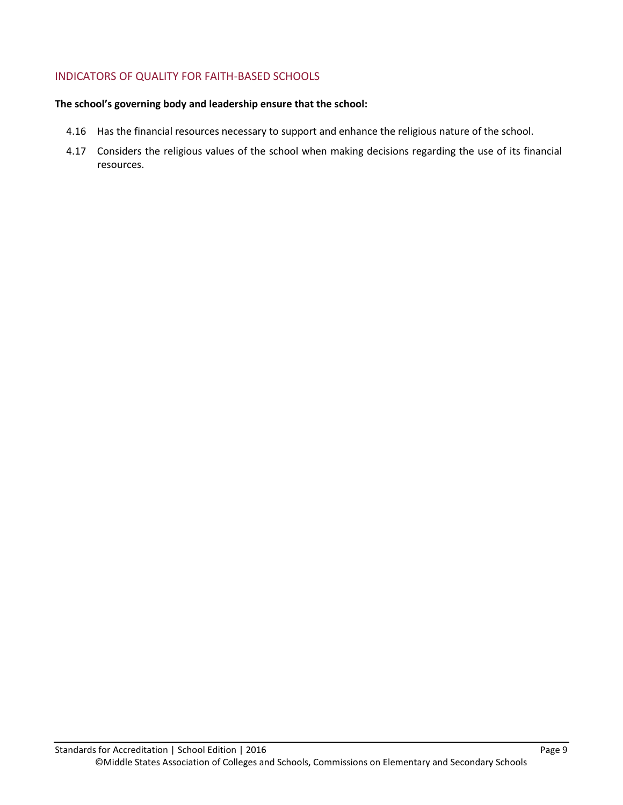# INDICATORS OF QUALITY FOR FAITH-BASED SCHOOLS

- 4.16 Has the financial resources necessary to support and enhance the religious nature of the school.
- 4.17 Considers the religious values of the school when making decisions regarding the use of its financial resources.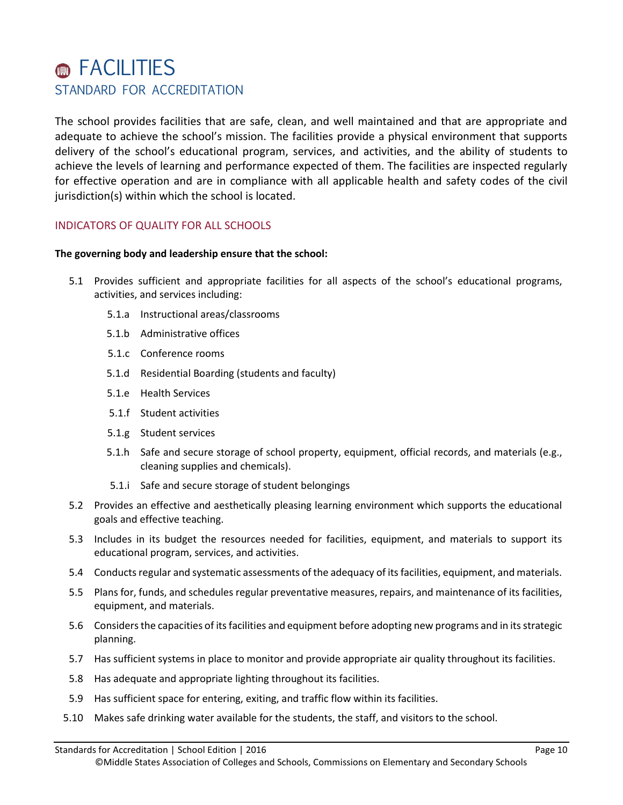# **@ FACILITIES** STANDARD FOR ACCREDITATION

The school provides facilities that are safe, clean, and well maintained and that are appropriate and adequate to achieve the school's mission. The facilities provide a physical environment that supports delivery of the school's educational program, services, and activities, and the ability of students to achieve the levels of learning and performance expected of them. The facilities are inspected regularly for effective operation and are in compliance with all applicable health and safety codes of the civil jurisdiction(s) within which the school is located.

# INDICATORS OF QUALITY FOR ALL SCHOOLS

- 5.1 Provides sufficient and appropriate facilities for all aspects of the school's educational programs, activities, and services including:
	- 5.1.a Instructional areas/classrooms
	- 5.1.b Administrative offices
	- 5.1.c Conference rooms
	- 5.1.d Residential Boarding (students and faculty)
	- 5.1.e Health Services
	- 5.1.f Student activities
	- 5.1.g Student services
	- 5.1.h Safe and secure storage of school property, equipment, official records, and materials (e.g., cleaning supplies and chemicals).
	- 5.1.i Safe and secure storage of student belongings
- 5.2 Provides an effective and aesthetically pleasing learning environment which supports the educational goals and effective teaching.
- 5.3 Includes in its budget the resources needed for facilities, equipment, and materials to support its educational program, services, and activities.
- 5.4 Conducts regular and systematic assessments of the adequacy of its facilities, equipment, and materials.
- 5.5 Plans for, funds, and schedules regular preventative measures, repairs, and maintenance of its facilities, equipment, and materials.
- 5.6 Considers the capacities of its facilities and equipment before adopting new programs and in its strategic planning.
- 5.7 Has sufficient systems in place to monitor and provide appropriate air quality throughout its facilities.
- 5.8 Has adequate and appropriate lighting throughout its facilities.
- 5.9 Has sufficient space for entering, exiting, and traffic flow within its facilities.
- 5.10 Makes safe drinking water available for the students, the staff, and visitors to the school.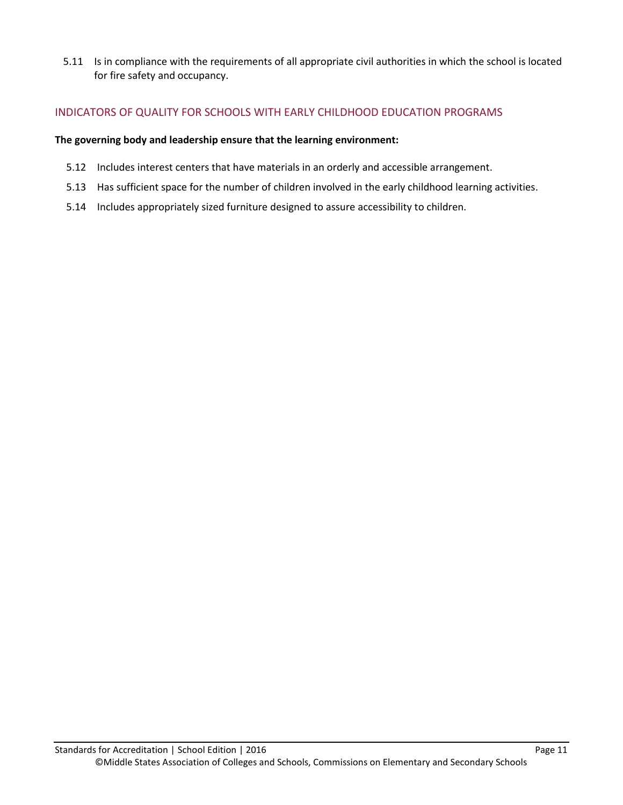5.11 Is in compliance with the requirements of all appropriate civil authorities in which the school is located for fire safety and occupancy.

# INDICATORS OF QUALITY FOR SCHOOLS WITH EARLY CHILDHOOD EDUCATION PROGRAMS

#### **The governing body and leadership ensure that the learning environment:**

- 5.12 Includes interest centers that have materials in an orderly and accessible arrangement.
- 5.13 Has sufficient space for the number of children involved in the early childhood learning activities.
- 5.14 Includes appropriately sized furniture designed to assure accessibility to children.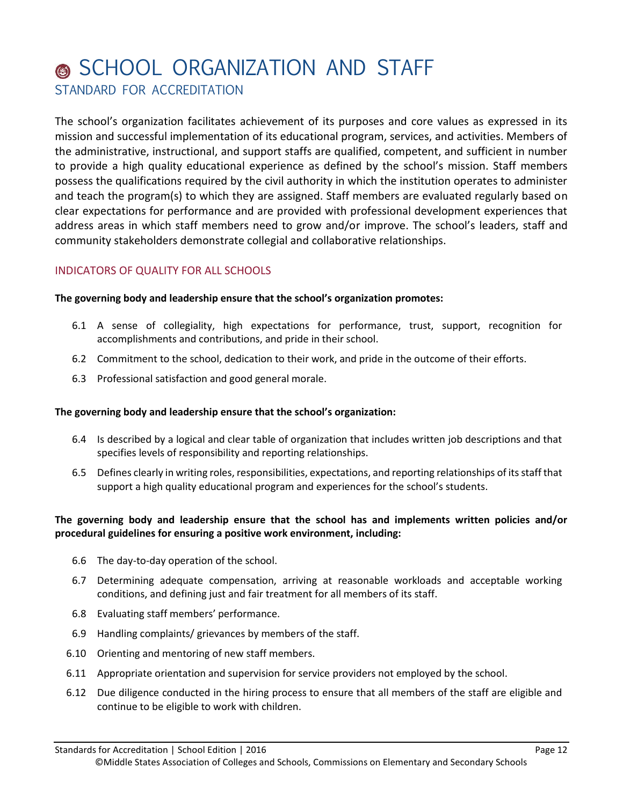# **SCHOOL ORGANIZATION AND STAFF** STANDARD FOR ACCREDITATION

The school's organization facilitates achievement of its purposes and core values as expressed in its mission and successful implementation of its educational program, services, and activities. Members of the administrative, instructional, and support staffs are qualified, competent, and sufficient in number to provide a high quality educational experience as defined by the school's mission. Staff members possess the qualifications required by the civil authority in which the institution operates to administer and teach the program(s) to which they are assigned. Staff members are evaluated regularly based on clear expectations for performance and are provided with professional development experiences that address areas in which staff members need to grow and/or improve. The school's leaders, staff and community stakeholders demonstrate collegial and collaborative relationships.

# INDICATORS OF QUALITY FOR ALL SCHOOLS

#### **The governing body and leadership ensure that the school's organization promotes:**

- 6.1 A sense of collegiality, high expectations for performance, trust, support, recognition for accomplishments and contributions, and pride in their school.
- 6.2 Commitment to the school, dedication to their work, and pride in the outcome of their efforts.
- 6.3 Professional satisfaction and good general morale.

#### **The governing body and leadership ensure that the school's organization:**

- 6.4 Is described by a logical and clear table of organization that includes written job descriptions and that specifies levels of responsibility and reporting relationships.
- 6.5 Defines clearly in writing roles, responsibilities, expectations, and reporting relationships of its staff that support a high quality educational program and experiences for the school's students.

#### **The governing body and leadership ensure that the school has and implements written policies and/or procedural guidelines for ensuring a positive work environment, including:**

- 6.6 The day-to-day operation of the school.
- 6.7 Determining adequate compensation, arriving at reasonable workloads and acceptable working conditions, and defining just and fair treatment for all members of its staff.
- 6.8 Evaluating staff members' performance.
- 6.9 Handling complaints/ grievances by members of the staff.
- 6.10 Orienting and mentoring of new staff members.
- 6.11 Appropriate orientation and supervision for service providers not employed by the school.
- 6.12 Due diligence conducted in the hiring process to ensure that all members of the staff are eligible and continue to be eligible to work with children.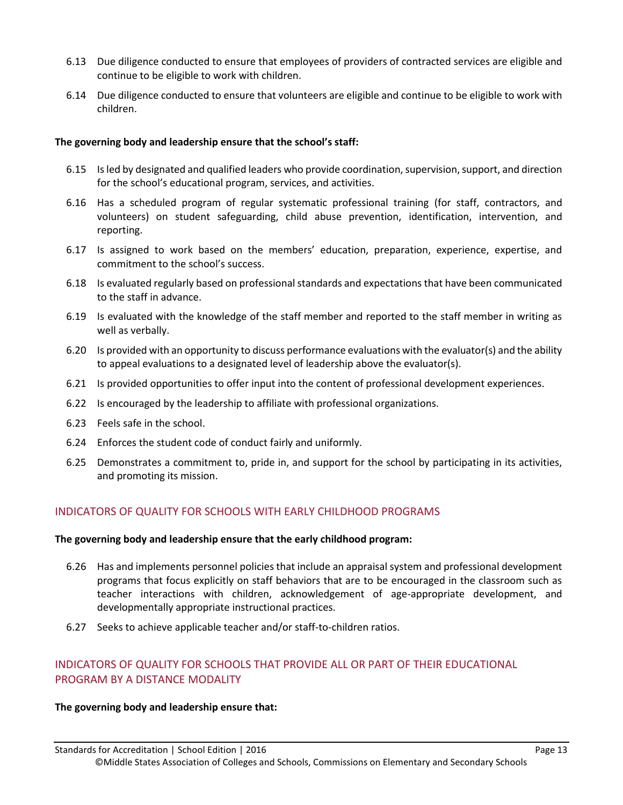- 6.13 Due diligence conducted to ensure that employees of providers of contracted services are eligible and continue to be eligible to work with children.
- 6.14 Due diligence conducted to ensure that volunteers are eligible and continue to be eligible to work with children.

#### **The governing body and leadership ensure that the school's staff:**

- 6.15 Is led by designated and qualified leaders who provide coordination, supervision, support, and direction for the school's educational program, services, and activities.
- 6.16 Has a scheduled program of regular systematic professional training (for staff, contractors, and volunteers) on student safeguarding, child abuse prevention, identification, intervention, and reporting.
- 6.17 Is assigned to work based on the members' education, preparation, experience, expertise, and commitment to the school's success.
- 6.18 Is evaluated regularly based on professional standards and expectations that have been communicated to the staff in advance.
- 6.19 Is evaluated with the knowledge of the staff member and reported to the staff member in writing as well as verbally.
- 6.20 Is provided with an opportunity to discuss performance evaluations with the evaluator(s) and the ability to appeal evaluations to a designated level of leadership above the evaluator(s).
- 6.21 Is provided opportunities to offer input into the content of professional development experiences.
- 6.22 Is encouraged by the leadership to affiliate with professional organizations.
- 6.23 Feels safe in the school.
- 6.24 Enforces the student code of conduct fairly and uniformly.
- 6.25 Demonstrates a commitment to, pride in, and support for the school by participating in its activities, and promoting its mission.

# INDICATORS OF QUALITY FOR SCHOOLS WITH EARLY CHILDHOOD PROGRAMS

#### **The governing body and leadership ensure that the early childhood program:**

- 6.26 Has and implements personnel policies that include an appraisal system and professional development programs that focus explicitly on staff behaviors that are to be encouraged in the classroom such as teacher interactions with children, acknowledgement of age-appropriate development, and developmentally appropriate instructional practices.
- 6.27 Seeks to achieve applicable teacher and/or staff-to-children ratios.

# INDICATORS OF QUALITY FOR SCHOOLS THAT PROVIDE ALL OR PART OF THEIR EDUCATIONAL PROGRAM BY A DISTANCE MODALITY

#### **The governing body and leadership ensure that:**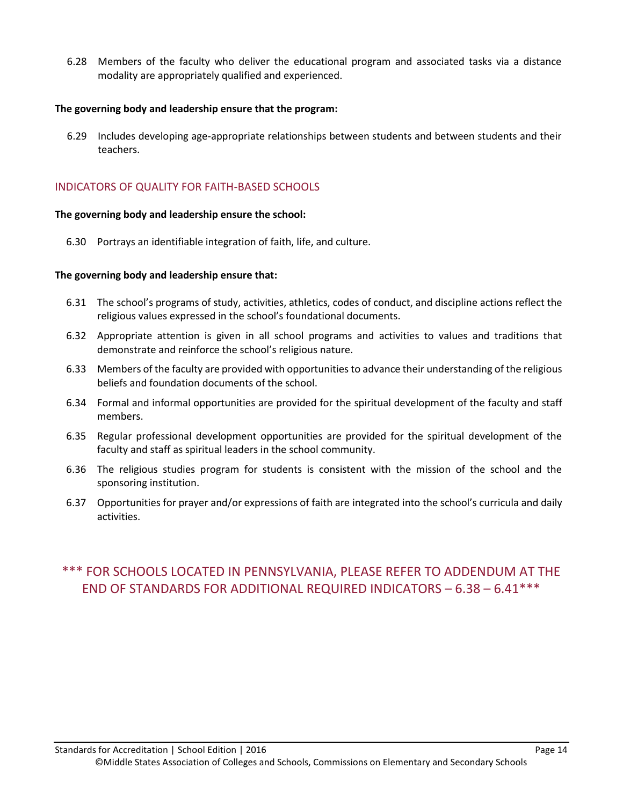6.28 Members of the faculty who deliver the educational program and associated tasks via a distance modality are appropriately qualified and experienced.

#### **The governing body and leadership ensure that the program:**

6.29 Includes developing age-appropriate relationships between students and between students and their teachers.

### INDICATORS OF QUALITY FOR FAITH-BASED SCHOOLS

#### **The governing body and leadership ensure the school:**

6.30 Portrays an identifiable integration of faith, life, and culture.

#### **The governing body and leadership ensure that:**

- 6.31 The school's programs of study, activities, athletics, codes of conduct, and discipline actions reflect the religious values expressed in the school's foundational documents.
- 6.32 Appropriate attention is given in all school programs and activities to values and traditions that demonstrate and reinforce the school's religious nature.
- 6.33 Members of the faculty are provided with opportunities to advance their understanding of the religious beliefs and foundation documents of the school.
- 6.34 Formal and informal opportunities are provided for the spiritual development of the faculty and staff members.
- 6.35 Regular professional development opportunities are provided for the spiritual development of the faculty and staff as spiritual leaders in the school community.
- 6.36 The religious studies program for students is consistent with the mission of the school and the sponsoring institution.
- 6.37 Opportunities for prayer and/or expressions of faith are integrated into the school's curricula and daily activities.

# \*\*\* FOR SCHOOLS LOCATED IN PENNSYLVANIA, PLEASE REFER TO ADDENDUM AT THE END OF STANDARDS FOR ADDITIONAL REQUIRED INDICATORS – 6.38 – 6.41\*\*\*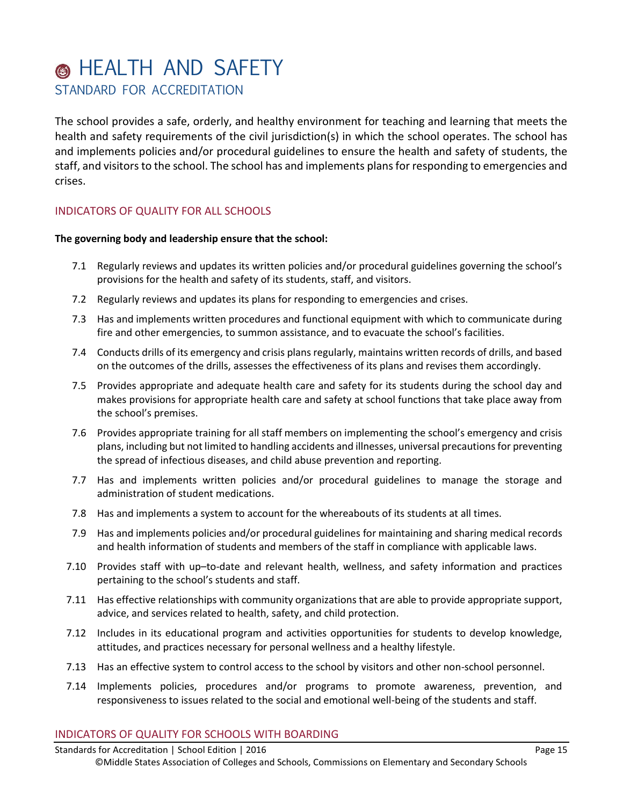# **6** HEALTH AND SAFETY STANDARD FOR ACCREDITATION

The school provides a safe, orderly, and healthy environment for teaching and learning that meets the health and safety requirements of the civil jurisdiction(s) in which the school operates. The school has and implements policies and/or procedural guidelines to ensure the health and safety of students, the staff, and visitors to the school. The school has and implements plans for responding to emergencies and crises.

# INDICATORS OF QUALITY FOR ALL SCHOOLS

#### **The governing body and leadership ensure that the school:**

- 7.1 Regularly reviews and updates its written policies and/or procedural guidelines governing the school's provisions for the health and safety of its students, staff, and visitors.
- 7.2 Regularly reviews and updates its plans for responding to emergencies and crises.
- 7.3 Has and implements written procedures and functional equipment with which to communicate during fire and other emergencies, to summon assistance, and to evacuate the school's facilities.
- 7.4 Conducts drills of its emergency and crisis plans regularly, maintains written records of drills, and based on the outcomes of the drills, assesses the effectiveness of its plans and revises them accordingly.
- 7.5 Provides appropriate and adequate health care and safety for its students during the school day and makes provisions for appropriate health care and safety at school functions that take place away from the school's premises.
- 7.6 Provides appropriate training for all staff members on implementing the school's emergency and crisis plans, including but not limited to handling accidents and illnesses, universal precautions for preventing the spread of infectious diseases, and child abuse prevention and reporting.
- 7.7 Has and implements written policies and/or procedural guidelines to manage the storage and administration of student medications.
- 7.8 Has and implements a system to account for the whereabouts of its students at all times.
- 7.9 Has and implements policies and/or procedural guidelines for maintaining and sharing medical records and health information of students and members of the staff in compliance with applicable laws.
- 7.10 Provides staff with up–to-date and relevant health, wellness, and safety information and practices pertaining to the school's students and staff.
- 7.11 Has effective relationships with community organizations that are able to provide appropriate support, advice, and services related to health, safety, and child protection.
- 7.12 Includes in its educational program and activities opportunities for students to develop knowledge, attitudes, and practices necessary for personal wellness and a healthy lifestyle.
- 7.13 Has an effective system to control access to the school by visitors and other non-school personnel.
- 7.14 Implements policies, procedures and/or programs to promote awareness, prevention, and responsiveness to issues related to the social and emotional well-being of the students and staff.

#### INDICATORS OF QUALITY FOR SCHOOLS WITH BOARDING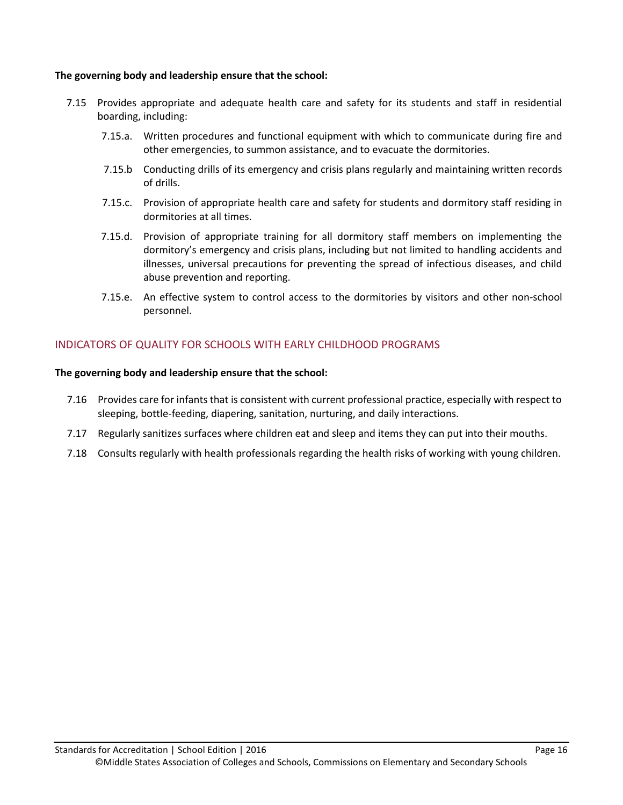#### **The governing body and leadership ensure that the school:**

- 7.15 Provides appropriate and adequate health care and safety for its students and staff in residential boarding, including:
	- 7.15.a. Written procedures and functional equipment with which to communicate during fire and other emergencies, to summon assistance, and to evacuate the dormitories.
	- 7.15.b Conducting drills of its emergency and crisis plans regularly and maintaining written records of drills.
	- 7.15.c. Provision of appropriate health care and safety for students and dormitory staff residing in dormitories at all times.
	- 7.15.d. Provision of appropriate training for all dormitory staff members on implementing the dormitory's emergency and crisis plans, including but not limited to handling accidents and illnesses, universal precautions for preventing the spread of infectious diseases, and child abuse prevention and reporting.
	- 7.15.e. An effective system to control access to the dormitories by visitors and other non-school personnel.

# INDICATORS OF QUALITY FOR SCHOOLS WITH EARLY CHILDHOOD PROGRAMS

- 7.16 Provides care for infants that is consistent with current professional practice, especially with respect to sleeping, bottle-feeding, diapering, sanitation, nurturing, and daily interactions.
- 7.17 Regularly sanitizes surfaces where children eat and sleep and items they can put into their mouths.
- 7.18 Consults regularly with health professionals regarding the health risks of working with young children.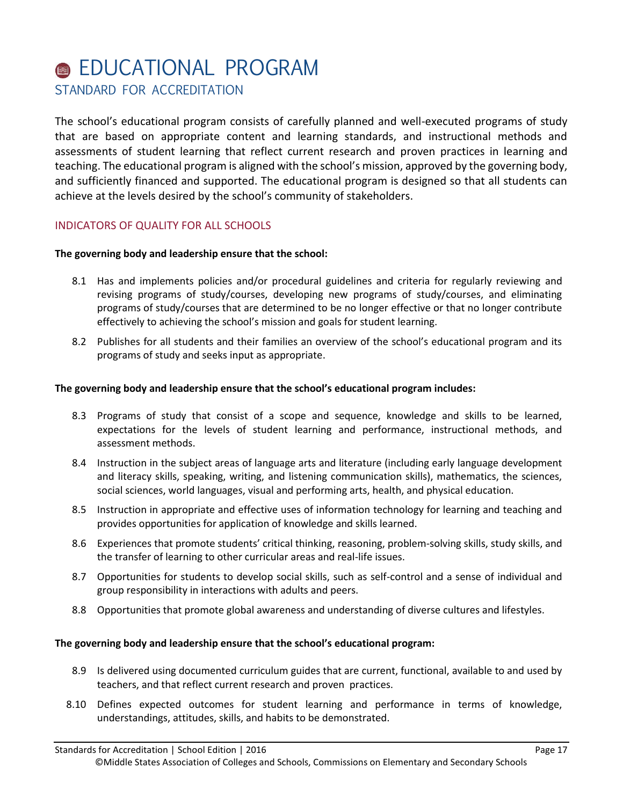# **@ EDUCATIONAL PROGRAM** STANDARD FOR ACCREDITATION

The school's educational program consists of carefully planned and well-executed programs of study that are based on appropriate content and learning standards, and instructional methods and assessments of student learning that reflect current research and proven practices in learning and teaching. The educational program is aligned with the school's mission, approved by the governing body, and sufficiently financed and supported. The educational program is designed so that all students can achieve at the levels desired by the school's community of stakeholders.

# INDICATORS OF QUALITY FOR ALL SCHOOLS

#### **The governing body and leadership ensure that the school:**

- 8.1 Has and implements policies and/or procedural guidelines and criteria for regularly reviewing and revising programs of study/courses, developing new programs of study/courses, and eliminating programs of study/courses that are determined to be no longer effective or that no longer contribute effectively to achieving the school's mission and goals for student learning.
- 8.2 Publishes for all students and their families an overview of the school's educational program and its programs of study and seeks input as appropriate.

#### **The governing body and leadership ensure that the school's educational program includes:**

- 8.3 Programs of study that consist of a scope and sequence, knowledge and skills to be learned, expectations for the levels of student learning and performance, instructional methods, and assessment methods.
- 8.4 Instruction in the subject areas of language arts and literature (including early language development and literacy skills, speaking, writing, and listening communication skills), mathematics, the sciences, social sciences, world languages, visual and performing arts, health, and physical education.
- 8.5 Instruction in appropriate and effective uses of information technology for learning and teaching and provides opportunities for application of knowledge and skills learned.
- 8.6 Experiences that promote students' critical thinking, reasoning, problem-solving skills, study skills, and the transfer of learning to other curricular areas and real-life issues.
- 8.7 Opportunities for students to develop social skills, such as self-control and a sense of individual and group responsibility in interactions with adults and peers.
- 8.8 Opportunities that promote global awareness and understanding of diverse cultures and lifestyles.

#### **The governing body and leadership ensure that the school's educational program:**

- 8.9 Is delivered using documented curriculum guides that are current, functional, available to and used by teachers, and that reflect current research and proven practices.
- 8.10 Defines expected outcomes for student learning and performance in terms of knowledge, understandings, attitudes, skills, and habits to be demonstrated.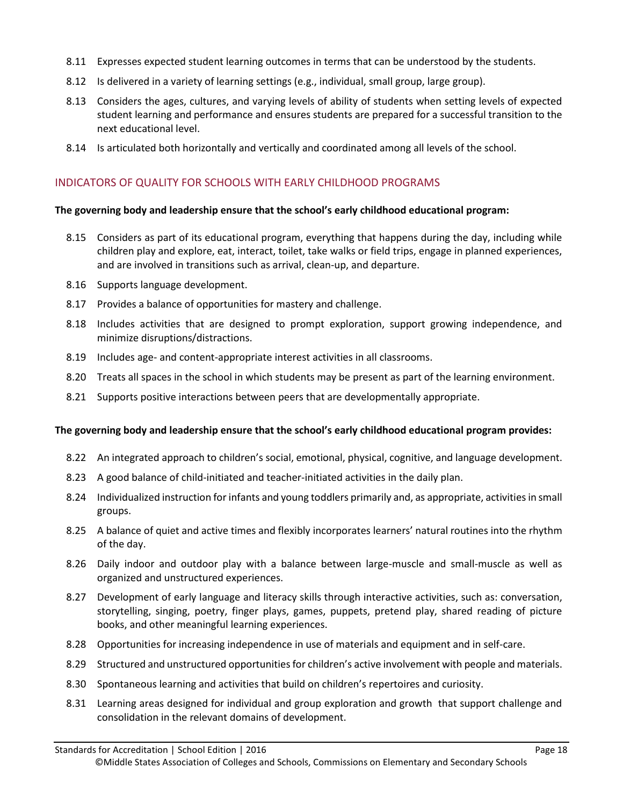- 8.11 Expresses expected student learning outcomes in terms that can be understood by the students.
- 8.12 Is delivered in a variety of learning settings (e.g., individual, small group, large group).
- 8.13 Considers the ages, cultures, and varying levels of ability of students when setting levels of expected student learning and performance and ensures students are prepared for a successful transition to the next educational level.
- 8.14 Is articulated both horizontally and vertically and coordinated among all levels of the school.

# INDICATORS OF QUALITY FOR SCHOOLS WITH EARLY CHILDHOOD PROGRAMS

#### **The governing body and leadership ensure that the school's early childhood educational program:**

- 8.15 Considers as part of its educational program, everything that happens during the day, including while children play and explore, eat, interact, toilet, take walks or field trips, engage in planned experiences, and are involved in transitions such as arrival, clean-up, and departure.
- 8.16 Supports language development.
- 8.17 Provides a balance of opportunities for mastery and challenge.
- 8.18 Includes activities that are designed to prompt exploration, support growing independence, and minimize disruptions/distractions.
- 8.19 Includes age- and content-appropriate interest activities in all classrooms.
- 8.20 Treats all spaces in the school in which students may be present as part of the learning environment.
- 8.21 Supports positive interactions between peers that are developmentally appropriate.

#### **The governing body and leadership ensure that the school's early childhood educational program provides:**

- 8.22 An integrated approach to children's social, emotional, physical, cognitive, and language development.
- 8.23 A good balance of child-initiated and teacher-initiated activities in the daily plan.
- 8.24 Individualized instruction for infants and young toddlers primarily and, as appropriate, activities in small groups.
- 8.25 A balance of quiet and active times and flexibly incorporates learners' natural routines into the rhythm of the day.
- 8.26 Daily indoor and outdoor play with a balance between large-muscle and small-muscle as well as organized and unstructured experiences.
- 8.27 Development of early language and literacy skills through interactive activities, such as: conversation, storytelling, singing, poetry, finger plays, games, puppets, pretend play, shared reading of picture books, and other meaningful learning experiences.
- 8.28 Opportunities for increasing independence in use of materials and equipment and in self-care.
- 8.29 Structured and unstructured opportunities for children's active involvement with people and materials.
- 8.30 Spontaneous learning and activities that build on children's repertoires and curiosity.
- 8.31 Learning areas designed for individual and group exploration and growth that support challenge and consolidation in the relevant domains of development.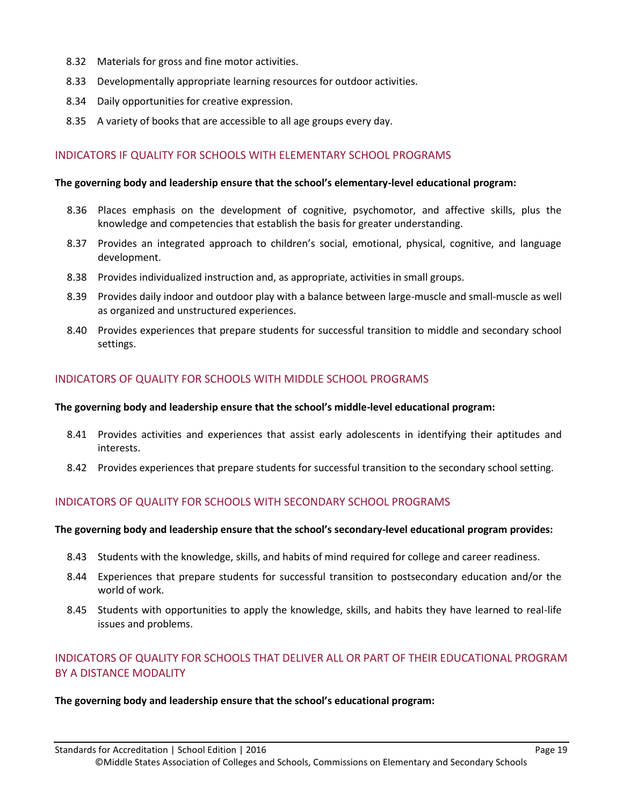- 8.32 Materials for gross and fine motor activities.
- 8.33 Developmentally appropriate learning resources for outdoor activities.
- 8.34 Daily opportunities for creative expression.
- 8.35 A variety of books that are accessible to all age groups every day.

#### INDICATORS IF QUALITY FOR SCHOOLS WITH ELEMENTARY SCHOOL PROGRAMS

#### **The governing body and leadership ensure that the school's elementary-level educational program:**

- 8.36 Places emphasis on the development of cognitive, psychomotor, and affective skills, plus the knowledge and competencies that establish the basis for greater understanding.
- 8.37 Provides an integrated approach to children's social, emotional, physical, cognitive, and language development.
- 8.38 Provides individualized instruction and, as appropriate, activities in small groups.
- 8.39 Provides daily indoor and outdoor play with a balance between large-muscle and small-muscle as well as organized and unstructured experiences.
- 8.40 Provides experiences that prepare students for successful transition to middle and secondary school settings.

#### INDICATORS OF QUALITY FOR SCHOOLS WITH MIDDLE SCHOOL PROGRAMS

#### **The governing body and leadership ensure that the school's middle-level educational program:**

- 8.41 Provides activities and experiences that assist early adolescents in identifying their aptitudes and interests.
- 8.42 Provides experiences that prepare students for successful transition to the secondary school setting.

# INDICATORS OF QUALITY FOR SCHOOLS WITH SECONDARY SCHOOL PROGRAMS

#### **The governing body and leadership ensure that the school's secondary-level educational program provides:**

- 8.43 Students with the knowledge, skills, and habits of mind required for college and career readiness.
- 8.44 Experiences that prepare students for successful transition to postsecondary education and/or the world of work.
- 8.45 Students with opportunities to apply the knowledge, skills, and habits they have learned to real-life issues and problems.

# INDICATORS OF QUALITY FOR SCHOOLS THAT DELIVER ALL OR PART OF THEIR EDUCATIONAL PROGRAM BY A DISTANCE MODALITY

#### **The governing body and leadership ensure that the school's educational program:**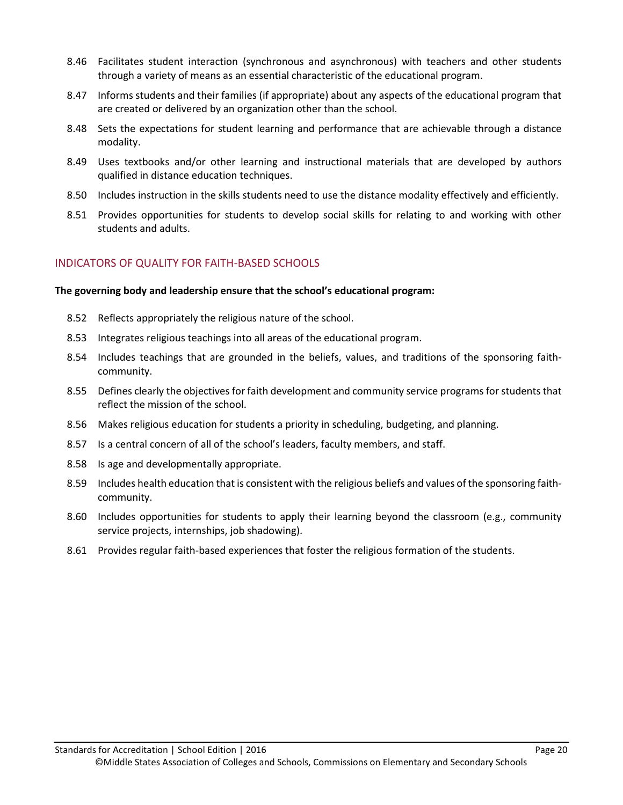- 8.46 Facilitates student interaction (synchronous and asynchronous) with teachers and other students through a variety of means as an essential characteristic of the educational program.
- 8.47 Informs students and their families (if appropriate) about any aspects of the educational program that are created or delivered by an organization other than the school.
- 8.48 Sets the expectations for student learning and performance that are achievable through a distance modality.
- 8.49 Uses textbooks and/or other learning and instructional materials that are developed by authors qualified in distance education techniques.
- 8.50 Includes instruction in the skills students need to use the distance modality effectively and efficiently.
- 8.51 Provides opportunities for students to develop social skills for relating to and working with other students and adults.

# INDICATORS OF QUALITY FOR FAITH-BASED SCHOOLS

#### **The governing body and leadership ensure that the school's educational program:**

- 8.52 Reflects appropriately the religious nature of the school.
- 8.53 Integrates religious teachings into all areas of the educational program.
- 8.54 Includes teachings that are grounded in the beliefs, values, and traditions of the sponsoring faithcommunity.
- 8.55 Defines clearly the objectives for faith development and community service programs for students that reflect the mission of the school.
- 8.56 Makes religious education for students a priority in scheduling, budgeting, and planning.
- 8.57 Is a central concern of all of the school's leaders, faculty members, and staff.
- 8.58 Is age and developmentally appropriate.
- 8.59 Includes health education that is consistent with the religious beliefs and values of the sponsoring faithcommunity.
- 8.60 Includes opportunities for students to apply their learning beyond the classroom (e.g., community service projects, internships, job shadowing).
- 8.61 Provides regular faith-based experiences that foster the religious formation of the students.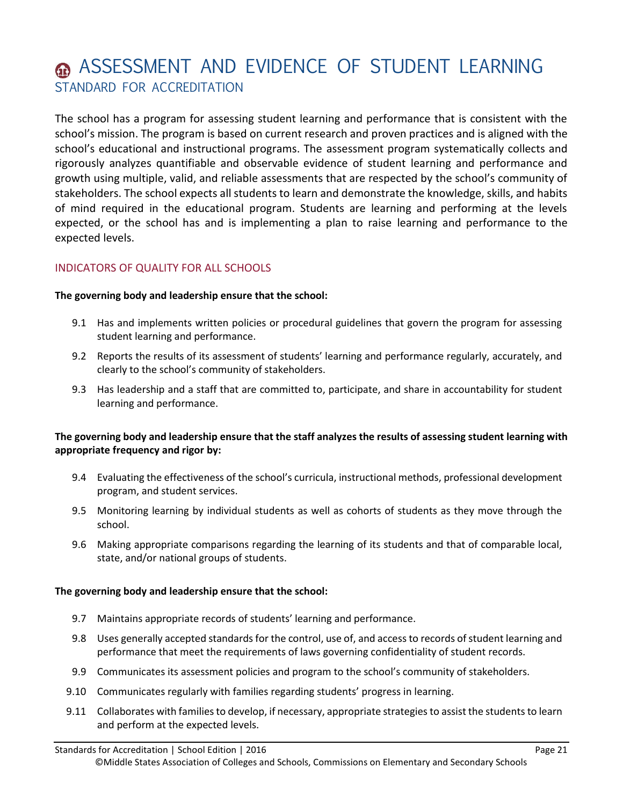# **ASSESSMENT AND EVIDENCE OF STUDENT LEARNING** STANDARD FOR ACCREDITATION

The school has a program for assessing student learning and performance that is consistent with the school's mission. The program is based on current research and proven practices and is aligned with the school's educational and instructional programs. The assessment program systematically collects and rigorously analyzes quantifiable and observable evidence of student learning and performance and growth using multiple, valid, and reliable assessments that are respected by the school's community of stakeholders. The school expects all students to learn and demonstrate the knowledge, skills, and habits of mind required in the educational program. Students are learning and performing at the levels expected, or the school has and is implementing a plan to raise learning and performance to the expected levels.

# INDICATORS OF QUALITY FOR ALL SCHOOLS

#### **The governing body and leadership ensure that the school:**

- 9.1 Has and implements written policies or procedural guidelines that govern the program for assessing student learning and performance.
- 9.2 Reports the results of its assessment of students' learning and performance regularly, accurately, and clearly to the school's community of stakeholders.
- 9.3 Has leadership and a staff that are committed to, participate, and share in accountability for student learning and performance.

# **The governing body and leadership ensure that the staff analyzes the results of assessing student learning with appropriate frequency and rigor by:**

- 9.4 Evaluating the effectiveness of the school's curricula, instructional methods, professional development program, and student services.
- 9.5 Monitoring learning by individual students as well as cohorts of students as they move through the school.
- 9.6 Making appropriate comparisons regarding the learning of its students and that of comparable local, state, and/or national groups of students.

- 9.7 Maintains appropriate records of students' learning and performance.
- 9.8 Uses generally accepted standards for the control, use of, and access to records of student learning and performance that meet the requirements of laws governing confidentiality of student records.
- 9.9 Communicates its assessment policies and program to the school's community of stakeholders.
- 9.10 Communicates regularly with families regarding students' progress in learning.
- 9.11 Collaborates with families to develop, if necessary, appropriate strategies to assist the students to learn and perform at the expected levels.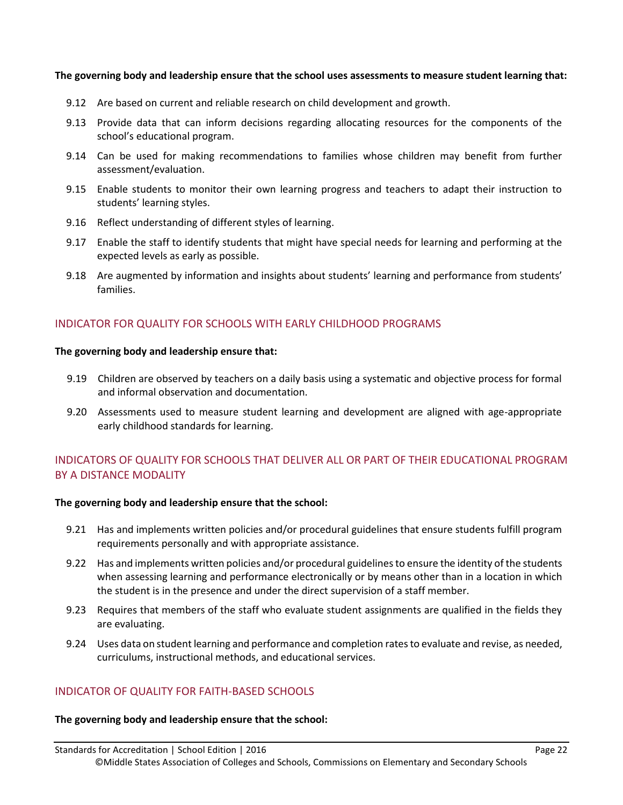#### **The governing body and leadership ensure that the school uses assessments to measure student learning that:**

- 9.12 Are based on current and reliable research on child development and growth.
- 9.13 Provide data that can inform decisions regarding allocating resources for the components of the school's educational program.
- 9.14 Can be used for making recommendations to families whose children may benefit from further assessment/evaluation.
- 9.15 Enable students to monitor their own learning progress and teachers to adapt their instruction to students' learning styles.
- 9.16 Reflect understanding of different styles of learning.
- 9.17 Enable the staff to identify students that might have special needs for learning and performing at the expected levels as early as possible.
- 9.18 Are augmented by information and insights about students' learning and performance from students' families.

# INDICATOR FOR QUALITY FOR SCHOOLS WITH EARLY CHILDHOOD PROGRAMS

#### **The governing body and leadership ensure that:**

- 9.19 Children are observed by teachers on a daily basis using a systematic and objective process for formal and informal observation and documentation.
- 9.20 Assessments used to measure student learning and development are aligned with age-appropriate early childhood standards for learning.

# INDICATORS OF QUALITY FOR SCHOOLS THAT DELIVER ALL OR PART OF THEIR EDUCATIONAL PROGRAM BY A DISTANCE MODALITY

#### **The governing body and leadership ensure that the school:**

- 9.21 Has and implements written policies and/or procedural guidelines that ensure students fulfill program requirements personally and with appropriate assistance.
- 9.22 Has and implements written policies and/or procedural guidelines to ensure the identity of the students when assessing learning and performance electronically or by means other than in a location in which the student is in the presence and under the direct supervision of a staff member.
- 9.23 Requires that members of the staff who evaluate student assignments are qualified in the fields they are evaluating.
- 9.24 Uses data on student learning and performance and completion rates to evaluate and revise, as needed, curriculums, instructional methods, and educational services.

# INDICATOR OF QUALITY FOR FAITH-BASED SCHOOLS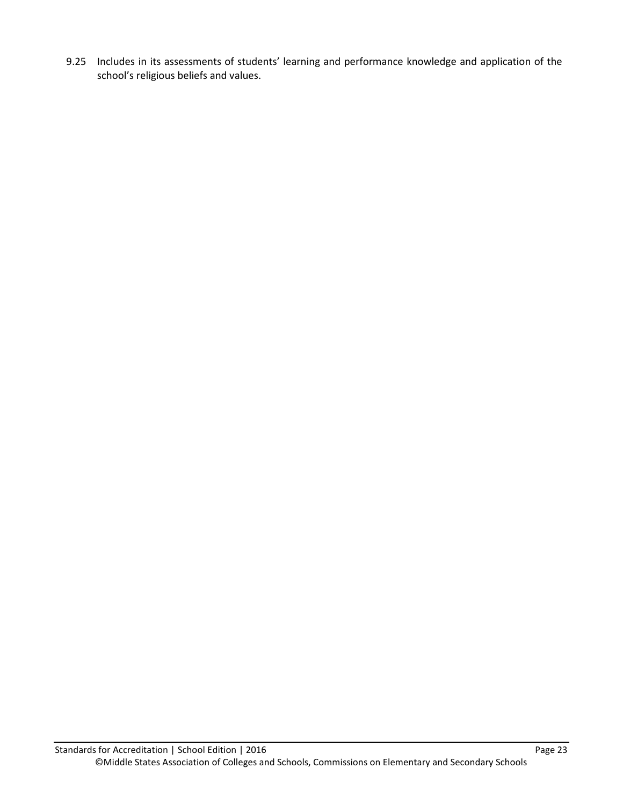9.25 Includes in its assessments of students' learning and performance knowledge and application of the school's religious beliefs and values.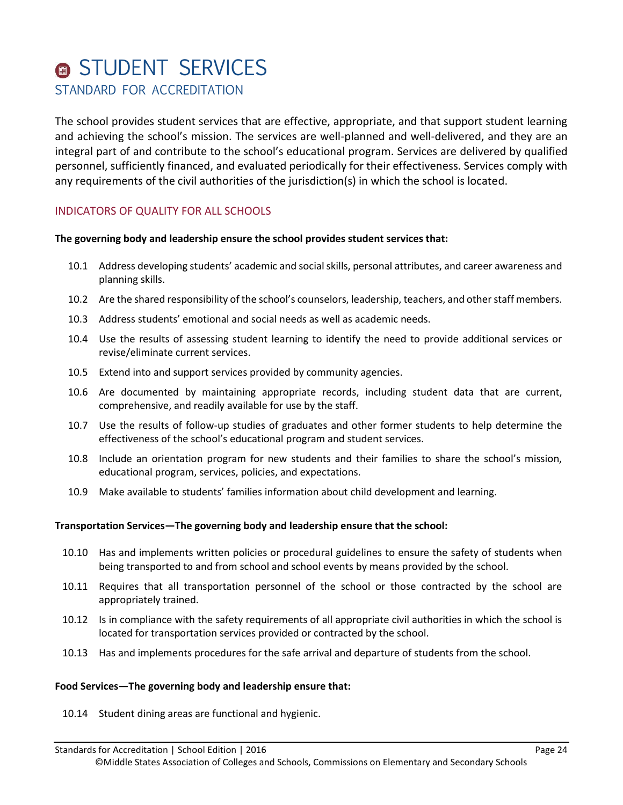# **STUDENT SERVICES** STANDARD FOR ACCREDITATION

The school provides student services that are effective, appropriate, and that support student learning and achieving the school's mission. The services are well-planned and well-delivered, and they are an integral part of and contribute to the school's educational program. Services are delivered by qualified personnel, sufficiently financed, and evaluated periodically for their effectiveness. Services comply with any requirements of the civil authorities of the jurisdiction(s) in which the school is located.

# INDICATORS OF QUALITY FOR ALL SCHOOLS

#### **The governing body and leadership ensure the school provides student services that:**

- 10.1 Address developing students' academic and social skills, personal attributes, and career awareness and planning skills.
- 10.2 Are the shared responsibility of the school's counselors, leadership, teachers, and other staff members.
- 10.3 Address students' emotional and social needs as well as academic needs.
- 10.4 Use the results of assessing student learning to identify the need to provide additional services or revise/eliminate current services.
- 10.5 Extend into and support services provided by community agencies.
- 10.6 Are documented by maintaining appropriate records, including student data that are current, comprehensive, and readily available for use by the staff.
- 10.7 Use the results of follow-up studies of graduates and other former students to help determine the effectiveness of the school's educational program and student services.
- 10.8 Include an orientation program for new students and their families to share the school's mission, educational program, services, policies, and expectations.
- 10.9 Make available to students' families information about child development and learning.

#### **Transportation Services—The governing body and leadership ensure that the school:**

- 10.10 Has and implements written policies or procedural guidelines to ensure the safety of students when being transported to and from school and school events by means provided by the school.
- 10.11 Requires that all transportation personnel of the school or those contracted by the school are appropriately trained.
- 10.12 Is in compliance with the safety requirements of all appropriate civil authorities in which the school is located for transportation services provided or contracted by the school.
- 10.13 Has and implements procedures for the safe arrival and departure of students from the school.

#### **Food Services—The governing body and leadership ensure that:**

10.14 Student dining areas are functional and hygienic.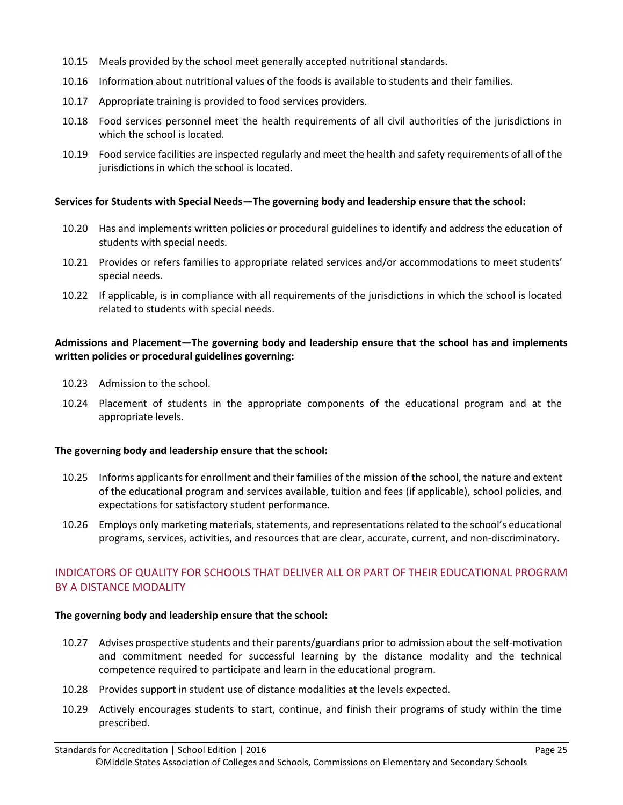- 10.15 Meals provided by the school meet generally accepted nutritional standards.
- 10.16 Information about nutritional values of the foods is available to students and their families.
- 10.17 Appropriate training is provided to food services providers.
- 10.18 Food services personnel meet the health requirements of all civil authorities of the jurisdictions in which the school is located.
- 10.19 Food service facilities are inspected regularly and meet the health and safety requirements of all of the jurisdictions in which the school is located.

#### **Services for Students with Special Needs—The governing body and leadership ensure that the school:**

- 10.20 Has and implements written policies or procedural guidelines to identify and address the education of students with special needs.
- 10.21 Provides or refers families to appropriate related services and/or accommodations to meet students' special needs.
- 10.22 If applicable, is in compliance with all requirements of the jurisdictions in which the school is located related to students with special needs.

# **Admissions and Placement—The governing body and leadership ensure that the school has and implements written policies or procedural guidelines governing:**

- 10.23 Admission to the school.
- 10.24 Placement of students in the appropriate components of the educational program and at the appropriate levels.

# **The governing body and leadership ensure that the school:**

- 10.25 Informs applicants for enrollment and their families of the mission of the school, the nature and extent of the educational program and services available, tuition and fees (if applicable), school policies, and expectations for satisfactory student performance.
- 10.26 Employs only marketing materials, statements, and representations related to the school's educational programs, services, activities, and resources that are clear, accurate, current, and non-discriminatory.

# INDICATORS OF QUALITY FOR SCHOOLS THAT DELIVER ALL OR PART OF THEIR EDUCATIONAL PROGRAM BY A DISTANCE MODALITY

- 10.27 Advises prospective students and their parents/guardians prior to admission about the self-motivation and commitment needed for successful learning by the distance modality and the technical competence required to participate and learn in the educational program.
- 10.28 Provides support in student use of distance modalities at the levels expected.
- 10.29 Actively encourages students to start, continue, and finish their programs of study within the time prescribed.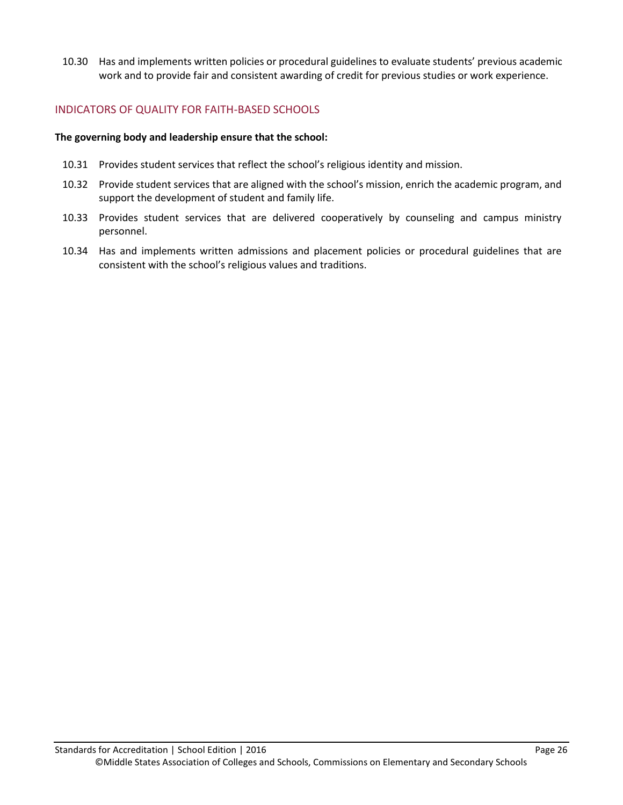10.30 Has and implements written policies or procedural guidelines to evaluate students' previous academic work and to provide fair and consistent awarding of credit for previous studies or work experience.

# INDICATORS OF QUALITY FOR FAITH-BASED SCHOOLS

- 10.31 Provides student services that reflect the school's religious identity and mission.
- 10.32 Provide student services that are aligned with the school's mission, enrich the academic program, and support the development of student and family life.
- 10.33 Provides student services that are delivered cooperatively by counseling and campus ministry personnel.
- 10.34 Has and implements written admissions and placement policies or procedural guidelines that are consistent with the school's religious values and traditions.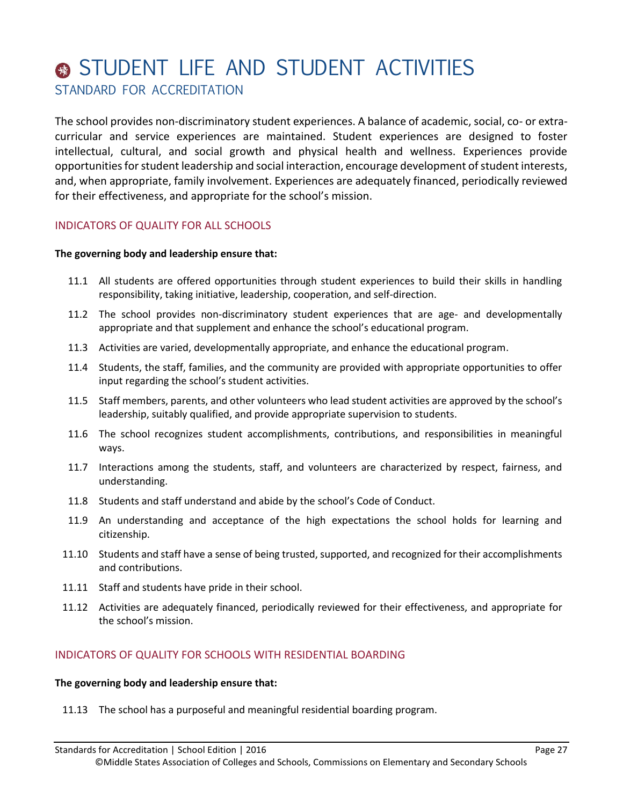# STUDENT LIFE AND STUDENT ACTIVITIES STANDARD FOR ACCREDITATION

The school provides non-discriminatory student experiences. A balance of academic, social, co- or extracurricular and service experiences are maintained. Student experiences are designed to foster intellectual, cultural, and social growth and physical health and wellness. Experiences provide opportunities for student leadership and social interaction, encourage development of student interests, and, when appropriate, family involvement. Experiences are adequately financed, periodically reviewed for their effectiveness, and appropriate for the school's mission.

# INDICATORS OF QUALITY FOR ALL SCHOOLS

#### **The governing body and leadership ensure that:**

- 11.1 All students are offered opportunities through student experiences to build their skills in handling responsibility, taking initiative, leadership, cooperation, and self-direction.
- 11.2 The school provides non-discriminatory student experiences that are age- and developmentally appropriate and that supplement and enhance the school's educational program.
- 11.3 Activities are varied, developmentally appropriate, and enhance the educational program.
- 11.4 Students, the staff, families, and the community are provided with appropriate opportunities to offer input regarding the school's student activities.
- 11.5 Staff members, parents, and other volunteers who lead student activities are approved by the school's leadership, suitably qualified, and provide appropriate supervision to students.
- 11.6 The school recognizes student accomplishments, contributions, and responsibilities in meaningful ways.
- 11.7 Interactions among the students, staff, and volunteers are characterized by respect, fairness, and understanding.
- 11.8 Students and staff understand and abide by the school's Code of Conduct.
- 11.9 An understanding and acceptance of the high expectations the school holds for learning and citizenship.
- 11.10 Students and staff have a sense of being trusted, supported, and recognized for their accomplishments and contributions.
- 11.11 Staff and students have pride in their school.
- 11.12 Activities are adequately financed, periodically reviewed for their effectiveness, and appropriate for the school's mission.

# INDICATORS OF QUALITY FOR SCHOOLS WITH RESIDENTIAL BOARDING

#### **The governing body and leadership ensure that:**

11.13 The school has a purposeful and meaningful residential boarding program.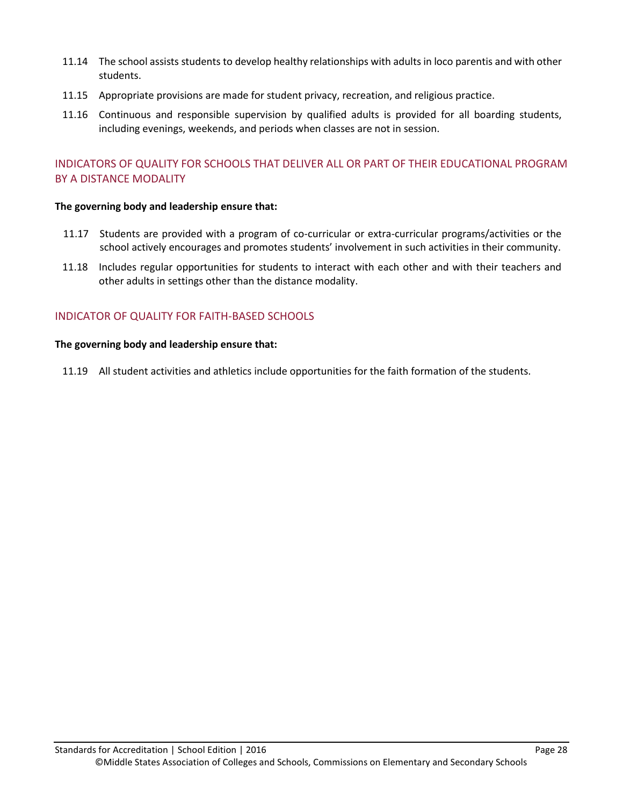- 11.14 The school assists students to develop healthy relationships with adults in loco parentis and with other students.
- 11.15 Appropriate provisions are made for student privacy, recreation, and religious practice.
- 11.16 Continuous and responsible supervision by qualified adults is provided for all boarding students, including evenings, weekends, and periods when classes are not in session.

# INDICATORS OF QUALITY FOR SCHOOLS THAT DELIVER ALL OR PART OF THEIR EDUCATIONAL PROGRAM BY A DISTANCE MODALITY

#### **The governing body and leadership ensure that:**

- 11.17 Students are provided with a program of co-curricular or extra-curricular programs/activities or the school actively encourages and promotes students' involvement in such activities in their community.
- 11.18 Includes regular opportunities for students to interact with each other and with their teachers and other adults in settings other than the distance modality.

# INDICATOR OF QUALITY FOR FAITH-BASED SCHOOLS

#### **The governing body and leadership ensure that:**

11.19 All student activities and athletics include opportunities for the faith formation of the students.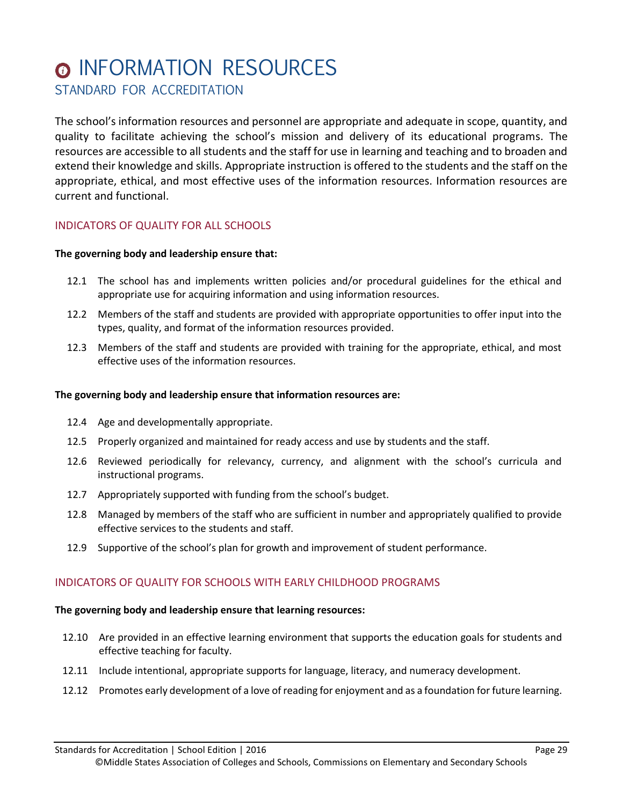# **<sup>O</sup>INFORMATION RESOURCES** STANDARD FOR ACCREDITATION

The school's information resources and personnel are appropriate and adequate in scope, quantity, and quality to facilitate achieving the school's mission and delivery of its educational programs. The resources are accessible to all students and the staff for use in learning and teaching and to broaden and extend their knowledge and skills. Appropriate instruction is offered to the students and the staff on the appropriate, ethical, and most effective uses of the information resources. Information resources are current and functional.

# INDICATORS OF QUALITY FOR ALL SCHOOLS

#### **The governing body and leadership ensure that:**

- 12.1 The school has and implements written policies and/or procedural guidelines for the ethical and appropriate use for acquiring information and using information resources.
- 12.2 Members of the staff and students are provided with appropriate opportunities to offer input into the types, quality, and format of the information resources provided.
- 12.3 Members of the staff and students are provided with training for the appropriate, ethical, and most effective uses of the information resources.

#### **The governing body and leadership ensure that information resources are:**

- 12.4 Age and developmentally appropriate.
- 12.5 Properly organized and maintained for ready access and use by students and the staff.
- 12.6 Reviewed periodically for relevancy, currency, and alignment with the school's curricula and instructional programs.
- 12.7 Appropriately supported with funding from the school's budget.
- 12.8 Managed by members of the staff who are sufficient in number and appropriately qualified to provide effective services to the students and staff.
- 12.9 Supportive of the school's plan for growth and improvement of student performance.

#### INDICATORS OF QUALITY FOR SCHOOLS WITH EARLY CHILDHOOD PROGRAMS

#### **The governing body and leadership ensure that learning resources:**

- 12.10 Are provided in an effective learning environment that supports the education goals for students and effective teaching for faculty.
- 12.11 Include intentional, appropriate supports for language, literacy, and numeracy development.
- 12.12 Promotes early development of a love of reading for enjoyment and as a foundation for future learning.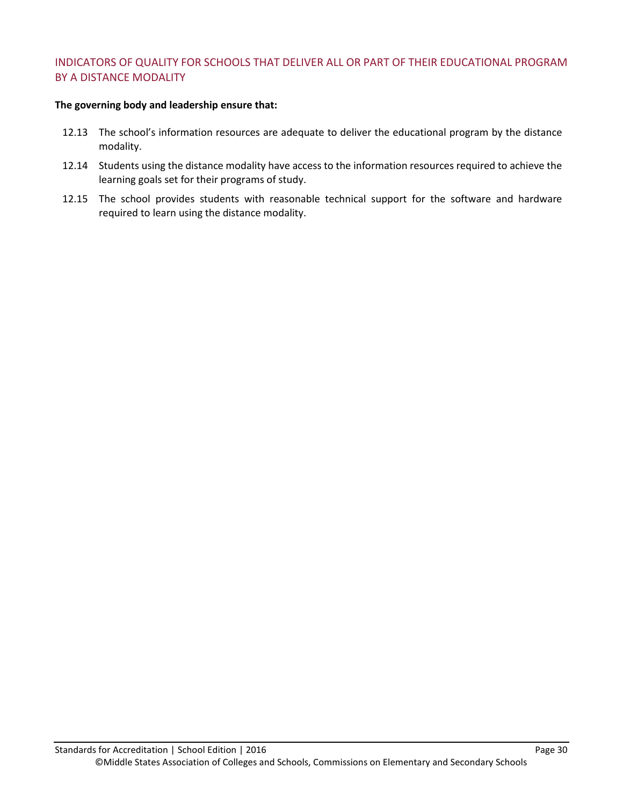# INDICATORS OF QUALITY FOR SCHOOLS THAT DELIVER ALL OR PART OF THEIR EDUCATIONAL PROGRAM BY A DISTANCE MODALITY

#### **The governing body and leadership ensure that:**

- 12.13 The school's information resources are adequate to deliver the educational program by the distance modality.
- 12.14 Students using the distance modality have access to the information resources required to achieve the learning goals set for their programs of study.
- 12.15 The school provides students with reasonable technical support for the software and hardware required to learn using the distance modality.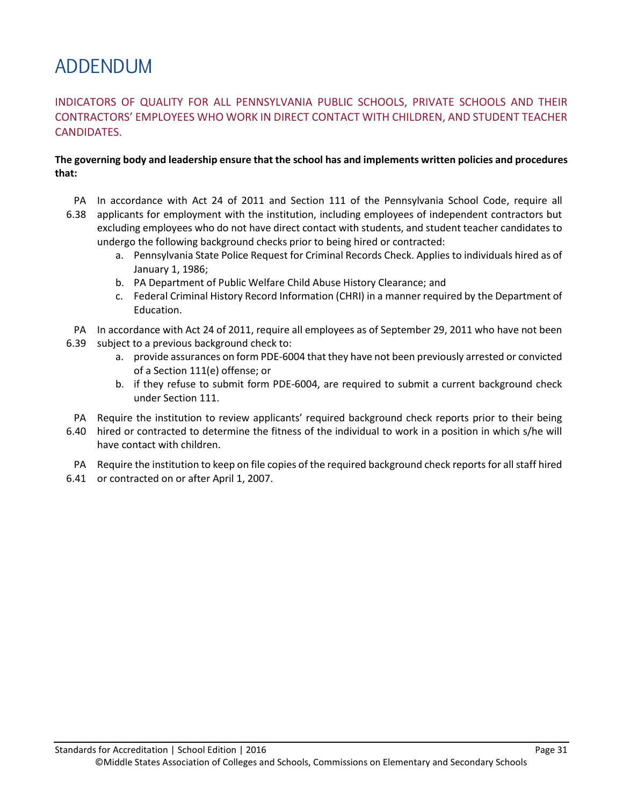# ADDENDUM

# INDICATORS OF QUALITY FOR ALL PENNSYLVANIA PUBLIC SCHOOLS, PRIVATE SCHOOLS AND THEIR CONTRACTORS' EMPLOYEES WHO WORK IN DIRECT CONTACT WITH CHILDREN, AND STUDENT TEACHER CANDIDATES.

# **The governing body and leadership ensure that the school has and implements written policies and procedures that:**

- PA In accordance with [Act 24 of 2011](http://www.portal.state.pa.us/portal/server.pt/community/background_checks_(act_114)/7493) and [Section 111 of the Pennsylvania School Code,](http://www.legis.state.pa.us/WU01/LI/LI/US/HTM/1949/0/0014.001.011.000..HTM) require all
- 6.38 applicants for employment with the institution, including employees of independent contractors but excluding employees who do not have direct contact with students, and student teacher candidates to undergo the following background checks prior to being hired or contracted:
	- a. Pennsylvania State Police Request for Criminal Records Check. Applies to individuals hired as of January 1, 1986;
	- b. PA Department of Public Welfare Child Abuse History Clearance; and
	- c. Federal Criminal History Record Information (CHRI) in a manner required by the Department of Education.
- PA In accordance wit[h Act 24 of 2011,](http://www.portal.state.pa.us/portal/server.pt/community/background_checks_(act_114)/7493/act_114_of_2006,_24_ps_1-111,_background_checks/601417) require all employees as of September 29, 2011 who have not been
- 6.39 subject to a previous background check to:
	- a. provide assurances on form PDE-6004 that they have not been previously arrested or convicted of a Section 111(e) offense; or
	- b. if they refuse to submit form PDE-6004, are required to submit a current background check under Section 111.
- PA Require the institution to review applicants' required background check reports prior to their being
- 6.40 hired or contracted to determine the fitness of the individual to work in a position in which s/he will have contact with children.
- PA Require the institution to keep on file copies of the required background check reports for all staff hired
- 6.41 or contracted on or after April 1, 2007.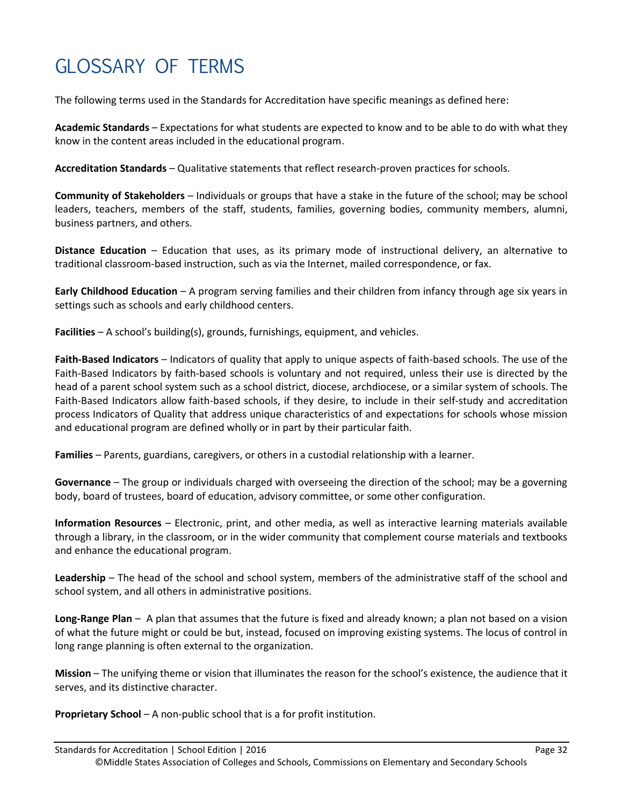# GLOSSARY OF TERMS

The following terms used in the Standards for Accreditation have specific meanings as defined here:

**Academic Standards** – Expectations for what students are expected to know and to be able to do with what they know in the content areas included in the educational program.

**Accreditation Standards** – Qualitative statements that reflect research-proven practices for schools.

**Community of Stakeholders** – Individuals or groups that have a stake in the future of the school; may be school leaders, teachers, members of the staff, students, families, governing bodies, community members, alumni, business partners, and others.

**Distance Education** – Education that uses, as its primary mode of instructional delivery, an alternative to traditional classroom-based instruction, such as via the Internet, mailed correspondence, or fax.

**Early Childhood Education** – A program serving families and their children from infancy through age six years in settings such as schools and early childhood centers.

**Facilities** – A school's building(s), grounds, furnishings, equipment, and vehicles.

**Faith-Based Indicators** – Indicators of quality that apply to unique aspects of faith-based schools. The use of the Faith-Based Indicators by faith-based schools is voluntary and not required, unless their use is directed by the head of a parent school system such as a school district, diocese, archdiocese, or a similar system of schools. The Faith-Based Indicators allow faith-based schools, if they desire, to include in their self-study and accreditation process Indicators of Quality that address unique characteristics of and expectations for schools whose mission and educational program are defined wholly or in part by their particular faith.

**Families** – Parents, guardians, caregivers, or others in a custodial relationship with a learner.

**Governance** – The group or individuals charged with overseeing the direction of the school; may be a governing body, board of trustees, board of education, advisory committee, or some other configuration.

**Information Resources** – Electronic, print, and other media, as well as interactive learning materials available through a library, in the classroom, or in the wider community that complement course materials and textbooks and enhance the educational program.

**Leadership** – The head of the school and school system, members of the administrative staff of the school and school system, and all others in administrative positions.

**Long-Range Plan** – A plan that assumes that the future is fixed and already known; a plan not based on a vision of what the future might or could be but, instead, focused on improving existing systems. The locus of control in long range planning is often external to the organization.

**Mission** – The unifying theme or vision that illuminates the reason for the school's existence, the audience that it serves, and its distinctive character.

**Proprietary School** – A non-public school that is a for profit institution.